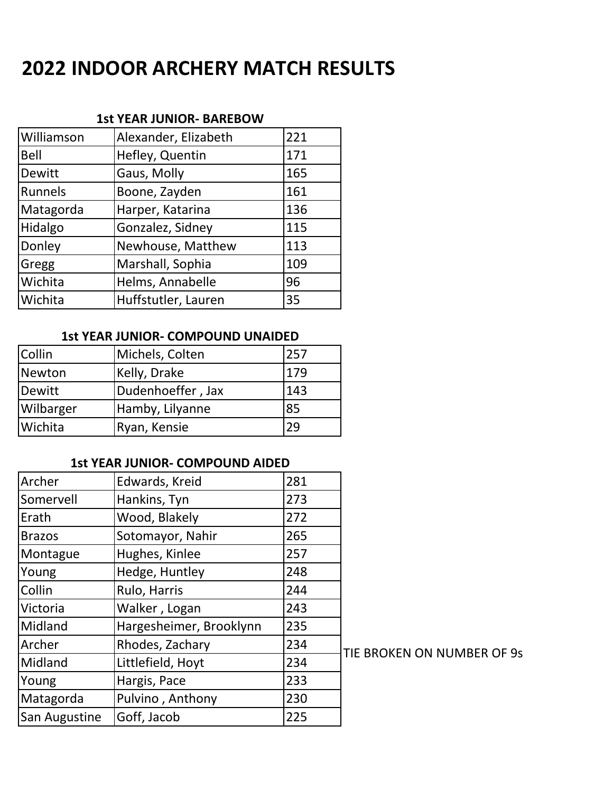# **2022 INDOOR ARCHERY MATCH RESULTS**

#### **1st YEAR JUNIOR- BAREBOW**

| Williamson | Alexander, Elizabeth | 221 |
|------------|----------------------|-----|
| Bell       | Hefley, Quentin      | 171 |
| Dewitt     | Gaus, Molly          | 165 |
| Runnels    | Boone, Zayden        | 161 |
| Matagorda  | Harper, Katarina     | 136 |
| Hidalgo    | Gonzalez, Sidney     | 115 |
| Donley     | Newhouse, Matthew    | 113 |
| Gregg      | Marshall, Sophia     | 109 |
| Wichita    | Helms, Annabelle     | 96  |
| Wichita    | Huffstutler, Lauren  | 35  |

#### **1st YEAR JUNIOR- COMPOUND UNAIDED**

| Collin    | Michels, Colten   | 257 |
|-----------|-------------------|-----|
| Newton    | Kelly, Drake      | 179 |
| Dewitt    | Dudenhoeffer, Jax | 143 |
| Wilbarger | Hamby, Lilyanne   | 85  |
| Wichita   | Ryan, Kensie      | 29  |

### **1st YEAR JUNIOR- COMPOUND AIDED**

| Archer        | Edwards, Kreid          | 281 |
|---------------|-------------------------|-----|
| Somervell     | Hankins, Tyn            | 273 |
| Erath         | Wood, Blakely           | 272 |
| <b>Brazos</b> | Sotomayor, Nahir        | 265 |
| Montague      | Hughes, Kinlee          | 257 |
| Young         | Hedge, Huntley          | 248 |
| Collin        | Rulo, Harris            | 244 |
| Victoria      | Walker, Logan           | 243 |
| Midland       | Hargesheimer, Brooklynn | 235 |
| Archer        | Rhodes, Zachary         | 234 |
| Midland       | Littlefield, Hoyt       | 234 |
| Young         | Hargis, Pace            | 233 |
| Matagorda     | Pulvino, Anthony        | 230 |
| San Augustine | Goff, Jacob             | 225 |

TIE BROKEN ON NUMBER OF 9s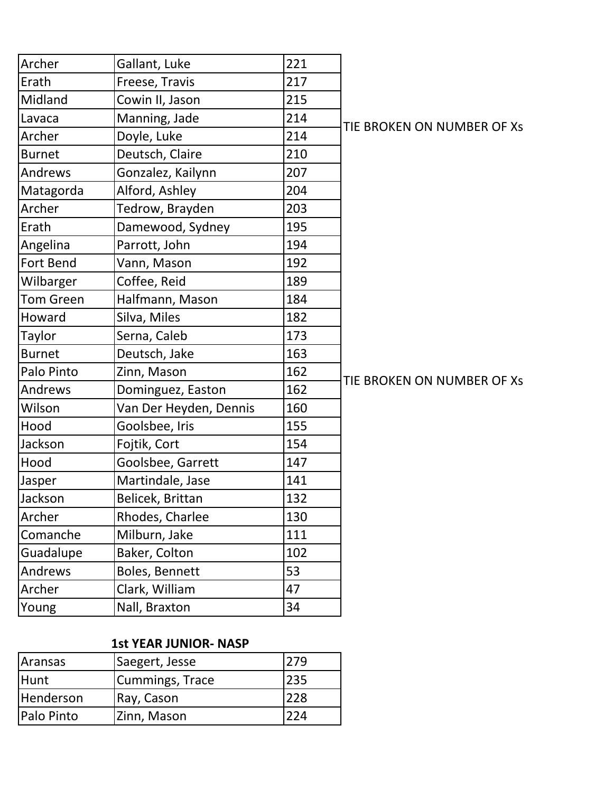| Archer           | Gallant, Luke          | 221 |                        |
|------------------|------------------------|-----|------------------------|
| Erath            | Freese, Travis         | 217 |                        |
| Midland          | Cowin II, Jason        | 215 |                        |
| Lavaca           | Manning, Jade          | 214 | TIE BROKEN ON NUMBER C |
| Archer           | Doyle, Luke            | 214 |                        |
| <b>Burnet</b>    | Deutsch, Claire        | 210 |                        |
| Andrews          | Gonzalez, Kailynn      | 207 |                        |
| Matagorda        | Alford, Ashley         | 204 |                        |
| Archer           | Tedrow, Brayden        | 203 |                        |
| Erath            | Damewood, Sydney       | 195 |                        |
| Angelina         | Parrott, John          | 194 |                        |
| Fort Bend        | Vann, Mason            | 192 |                        |
| Wilbarger        | Coffee, Reid           | 189 |                        |
| <b>Tom Green</b> | Halfmann, Mason        | 184 |                        |
| Howard           | Silva, Miles           | 182 |                        |
| Taylor           | Serna, Caleb           | 173 |                        |
| <b>Burnet</b>    | Deutsch, Jake          | 163 |                        |
| Palo Pinto       | Zinn, Mason            | 162 | TIE BROKEN ON NUMBER C |
| Andrews          | Dominguez, Easton      | 162 |                        |
| Wilson           | Van Der Heyden, Dennis | 160 |                        |
| Hood             | Goolsbee, Iris         | 155 |                        |
| Jackson          | Fojtik, Cort           | 154 |                        |
| Hood             | Goolsbee, Garrett      | 147 |                        |
| Jasper           | Martindale, Jase       | 141 |                        |
| Jackson          | Belicek, Brittan       | 132 |                        |
| Archer           | Rhodes, Charlee        | 130 |                        |
| Comanche         | Milburn, Jake          | 111 |                        |
| Guadalupe        | Baker, Colton          | 102 |                        |
| Andrews          | Boles, Bennett         | 53  |                        |
| Archer           | Clark, William         | 47  |                        |
| Young            | Nall, Braxton          | 34  |                        |

## OF Xs

### OF Xs

# **1st YEAR JUNIOR- NASP**

| Aransas           | Saegert, Jesse  | 279 |
|-------------------|-----------------|-----|
| Hunt              | Cummings, Trace | 235 |
| Henderson         | Ray, Cason      | 228 |
| <b>Palo Pinto</b> | Zinn, Mason     | 224 |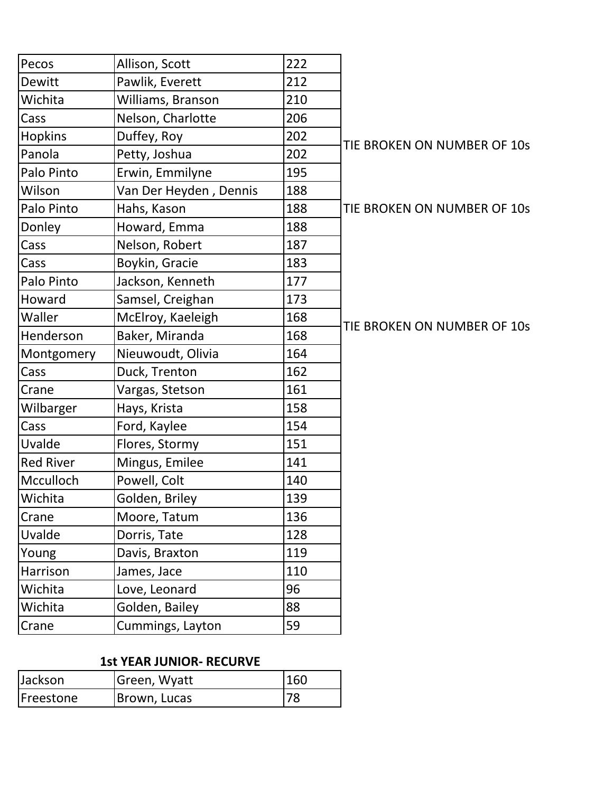| Pecos            | Allison, Scott         | 222 |                     |
|------------------|------------------------|-----|---------------------|
| Dewitt           | Pawlik, Everett        | 212 |                     |
| Wichita          | Williams, Branson      | 210 |                     |
| Cass             | Nelson, Charlotte      | 206 |                     |
| Hopkins          | Duffey, Roy            | 202 | <b>TIE BROKEN C</b> |
| Panola           | Petty, Joshua          | 202 |                     |
| Palo Pinto       | Erwin, Emmilyne        | 195 |                     |
| Wilson           | Van Der Heyden, Dennis | 188 |                     |
| Palo Pinto       | Hahs, Kason            | 188 | <b>TIE BROKEN C</b> |
| Donley           | Howard, Emma           | 188 |                     |
| Cass             | Nelson, Robert         | 187 |                     |
| Cass             | Boykin, Gracie         | 183 |                     |
| Palo Pinto       | Jackson, Kenneth       | 177 |                     |
| Howard           | Samsel, Creighan       | 173 |                     |
| Waller           | McElroy, Kaeleigh      | 168 | <b>TIE BROKEN C</b> |
| Henderson        | Baker, Miranda         | 168 |                     |
| Montgomery       | Nieuwoudt, Olivia      | 164 |                     |
| Cass             | Duck, Trenton          | 162 |                     |
| Crane            | Vargas, Stetson        | 161 |                     |
| Wilbarger        | Hays, Krista           | 158 |                     |
| Cass             | Ford, Kaylee           | 154 |                     |
| Uvalde           | Flores, Stormy         | 151 |                     |
| <b>Red River</b> | Mingus, Emilee         | 141 |                     |
| Mcculloch        | Powell, Colt           | 140 |                     |
| Wichita          | Golden, Briley         | 139 |                     |
| Crane            | Moore, Tatum           | 136 |                     |
| Uvalde           | Dorris, Tate           | 128 |                     |
| Young            | Davis, Braxton         | 119 |                     |
| Harrison         | James, Jace            | 110 |                     |
| Wichita          | Love, Leonard          | 96  |                     |
| Wichita          | Golden, Bailey         | 88  |                     |
| Crane            | Cummings, Layton       | 59  |                     |
|                  |                        |     |                     |

# ON NUMBER OF 10s

ON NUMBER OF 10s

# ON NUMBER OF 10s

#### **1st YEAR JUNIOR- RECURVE**

| Jackson           | Green, Wyatt | 160 |
|-------------------|--------------|-----|
| <b>IFreestone</b> | Brown, Lucas | 78  |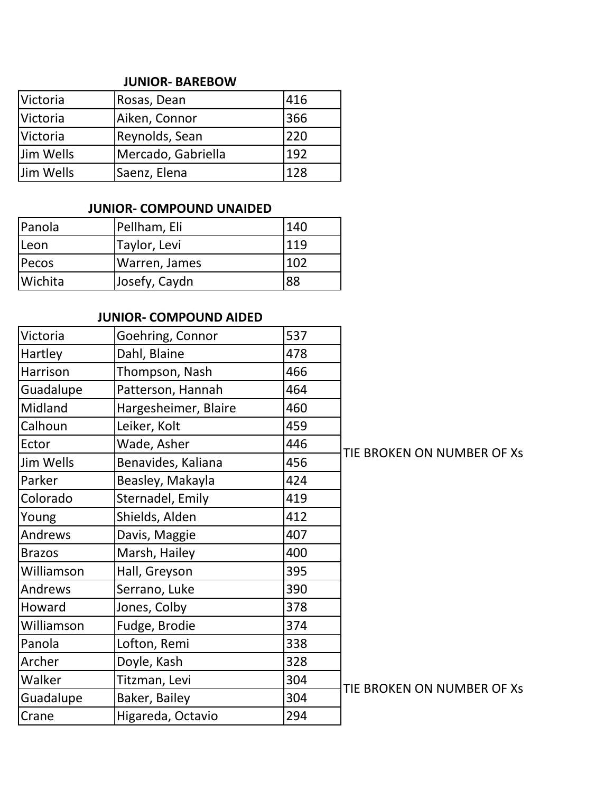#### **JUNIOR- BAREBOW**

| Victoria        | Rosas, Dean        | 416 |
|-----------------|--------------------|-----|
| <b>Victoria</b> | Aiken, Connor      | 366 |
| Victoria        | Reynolds, Sean     | 220 |
| Jim Wells       | Mercado, Gabriella | 192 |
| Jim Wells       | Saenz, Elena       | 128 |

## **JUNIOR- COMPOUND UNAIDED**

| Panola         | Pellham, Eli  | 140 |
|----------------|---------------|-----|
| <b>ILeon</b>   | Taylor, Levi  | 119 |
| Pecos          | Warren, James | 102 |
| <b>Wichita</b> | Josefy, Caydn | 88  |

# **JUNIOR- COMPOUND AIDED**

| Victoria      | Goehring, Connor     | 537 |                            |
|---------------|----------------------|-----|----------------------------|
| Hartley       | Dahl, Blaine         | 478 |                            |
| Harrison      | Thompson, Nash       | 466 |                            |
| Guadalupe     | Patterson, Hannah    | 464 |                            |
| Midland       | Hargesheimer, Blaire | 460 |                            |
| Calhoun       | Leiker, Kolt         | 459 |                            |
| Ector         | Wade, Asher          | 446 |                            |
| Jim Wells     | Benavides, Kaliana   | 456 | TIE BROKEN ON NUMBER OF XS |
| Parker        | Beasley, Makayla     | 424 |                            |
| Colorado      | Sternadel, Emily     | 419 |                            |
| Young         | Shields, Alden       | 412 |                            |
| Andrews       | Davis, Maggie        | 407 |                            |
| <b>Brazos</b> | Marsh, Hailey        | 400 |                            |
| Williamson    | Hall, Greyson        | 395 |                            |
| Andrews       | Serrano, Luke        | 390 |                            |
| Howard        | Jones, Colby         | 378 |                            |
| Williamson    | Fudge, Brodie        | 374 |                            |
| Panola        | Lofton, Remi         | 338 |                            |
| Archer        | Doyle, Kash          | 328 |                            |
| Walker        | Titzman, Levi        | 304 | TIE BROKEN ON NUMBER OF XS |
| Guadalupe     | Baker, Bailey        | 304 |                            |
| Crane         | Higareda, Octavio    | 294 |                            |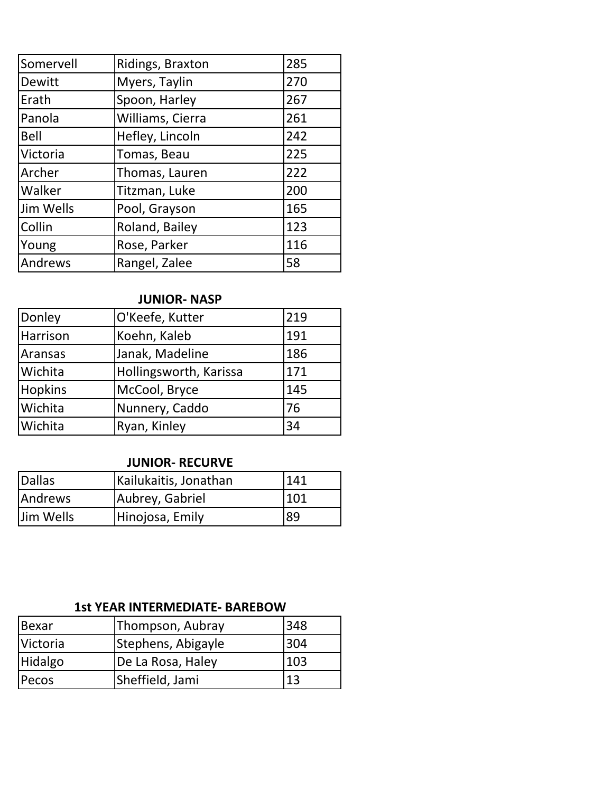| Somervell   | Ridings, Braxton | 285 |
|-------------|------------------|-----|
| Dewitt      | Myers, Taylin    | 270 |
| Erath       | Spoon, Harley    | 267 |
| Panola      | Williams, Cierra | 261 |
| <b>Bell</b> | Hefley, Lincoln  | 242 |
| Victoria    | Tomas, Beau      | 225 |
| Archer      | Thomas, Lauren   | 222 |
| Walker      | Titzman, Luke    | 200 |
| Jim Wells   | Pool, Grayson    | 165 |
| Collin      | Roland, Bailey   | 123 |
| Young       | Rose, Parker     | 116 |
| Andrews     | Rangel, Zalee    | 58  |

# **JUNIOR- NASP**

| Donley         | O'Keefe, Kutter        | 219 |
|----------------|------------------------|-----|
| Harrison       | Koehn, Kaleb           | 191 |
| Aransas        | Janak, Madeline        | 186 |
| Wichita        | Hollingsworth, Karissa | 171 |
| <b>Hopkins</b> | McCool, Bryce          | 145 |
| Wichita        | Nunnery, Caddo         | 76  |
| Wichita        | Ryan, Kinley           | 34  |

#### **JUNIOR- RECURVE**

| Dallas    | Kailukaitis, Jonathan | 141 |
|-----------|-----------------------|-----|
| Andrews   | Aubrey, Gabriel       | 101 |
| Jim Wells | Hinojosa, Emily       | 89  |

## **1st YEAR INTERMEDIATE- BAREBOW**

| <b>Bexar</b>    | Thompson, Aubray   | 348 |
|-----------------|--------------------|-----|
| <b>Victoria</b> | Stephens, Abigayle | 304 |
| Hidalgo         | De La Rosa, Haley  | 103 |
| <b>Pecos</b>    | Sheffield, Jami    | 13  |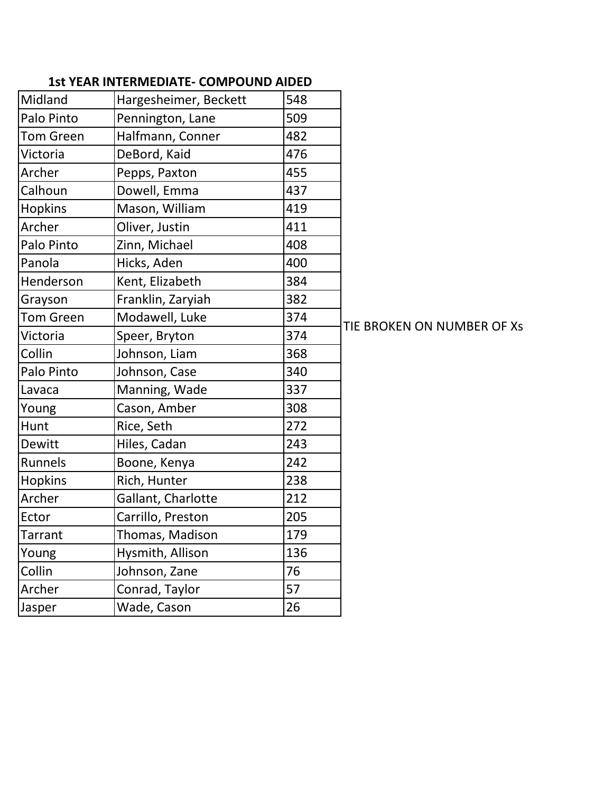| Midland          | Hargesheimer, Beckett | 548 |
|------------------|-----------------------|-----|
| Palo Pinto       | Pennington, Lane      | 509 |
| <b>Tom Green</b> | Halfmann, Conner      | 482 |
| Victoria         | DeBord, Kaid          | 476 |
| Archer           | Pepps, Paxton         | 455 |
| Calhoun          | Dowell, Emma          | 437 |
| <b>Hopkins</b>   | Mason, William        | 419 |
| Archer           | Oliver, Justin        | 411 |
| Palo Pinto       | Zinn, Michael         | 408 |
| Panola           | Hicks, Aden           | 400 |
| Henderson        | Kent, Elizabeth       | 384 |
| Grayson          | Franklin, Zaryiah     | 382 |
| <b>Tom Green</b> | Modawell, Luke        | 374 |
| Victoria         | Speer, Bryton         | 374 |
| Collin           | Johnson, Liam         | 368 |
| Palo Pinto       | Johnson, Case         | 340 |
| Lavaca           | Manning, Wade         | 337 |
| Young            | Cason, Amber          | 308 |
| Hunt             | Rice, Seth            | 272 |
| Dewitt           | Hiles, Cadan          | 243 |
| Runnels          | Boone, Kenya          | 242 |
| <b>Hopkins</b>   | Rich, Hunter          | 238 |
| Archer           | Gallant, Charlotte    | 212 |
| Ector            | Carrillo, Preston     | 205 |
| Tarrant          | Thomas, Madison       | 179 |
| Young            | Hysmith, Allison      | 136 |
| Collin           | Johnson, Zane         | 76  |
| Archer           | Conrad, Taylor        | 57  |
| Jasper           | Wade, Cason           | 26  |

TIE BROKEN ON NUMBER OF Xs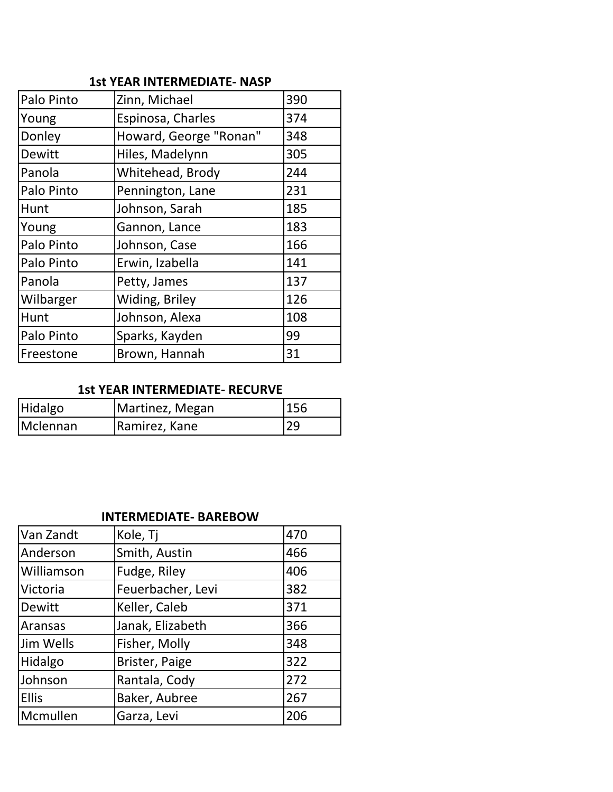|  |  |  | <b>1st YEAR INTERMEDIATE- NASP</b> |  |  |
|--|--|--|------------------------------------|--|--|
|--|--|--|------------------------------------|--|--|

| Palo Pinto | Zinn, Michael          | 390 |
|------------|------------------------|-----|
| Young      | Espinosa, Charles      | 374 |
| Donley     | Howard, George "Ronan" | 348 |
| Dewitt     | Hiles, Madelynn        | 305 |
| Panola     | Whitehead, Brody       | 244 |
| Palo Pinto | Pennington, Lane       | 231 |
| Hunt       | Johnson, Sarah         | 185 |
| Young      | Gannon, Lance          | 183 |
| Palo Pinto | Johnson, Case          | 166 |
| Palo Pinto | Erwin, Izabella        | 141 |
| Panola     | Petty, James           | 137 |
| Wilbarger  | Widing, Briley         | 126 |
| Hunt       | Johnson, Alexa         | 108 |
| Palo Pinto | Sparks, Kayden         | 99  |
| Freestone  | Brown, Hannah          | 31  |

### **1st YEAR INTERMEDIATE- RECURVE**

| Hidalgo  | Martinez, Megan | 156 |
|----------|-----------------|-----|
| Mclennan | Ramirez, Kane   | 29  |

#### **INTERMEDIATE- BAREBOW**

| Van Zandt    | Kole, Tj          | 470 |
|--------------|-------------------|-----|
| Anderson     | Smith, Austin     | 466 |
| Williamson   | Fudge, Riley      | 406 |
| Victoria     | Feuerbacher, Levi | 382 |
| Dewitt       | Keller, Caleb     | 371 |
| Aransas      | Janak, Elizabeth  | 366 |
| Jim Wells    | Fisher, Molly     | 348 |
| Hidalgo      | Brister, Paige    | 322 |
| Johnson      | Rantala, Cody     | 272 |
| <b>Ellis</b> | Baker, Aubree     | 267 |
| Mcmullen     | Garza, Levi       | 206 |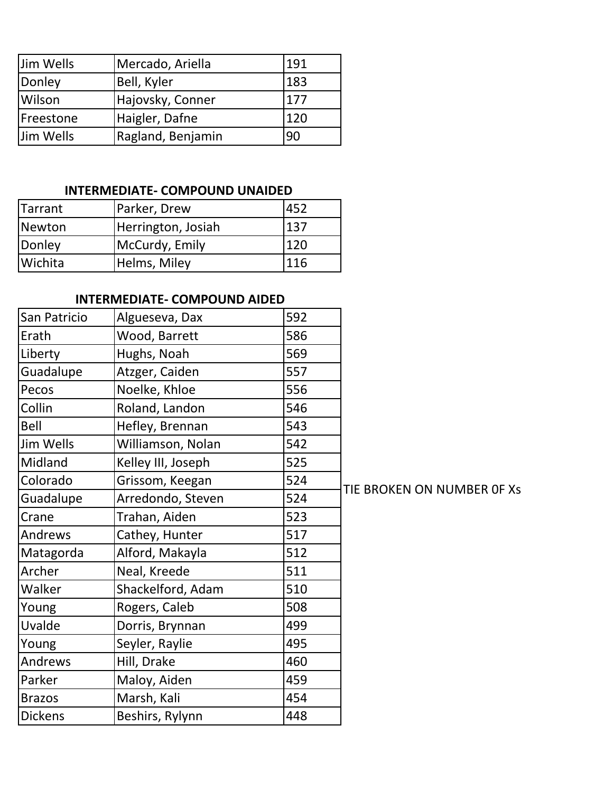| Jim Wells | Mercado, Ariella  | 191 |
|-----------|-------------------|-----|
| Donley    | Bell, Kyler       | 183 |
| Wilson    | Hajovsky, Conner  | 177 |
| Freestone | Haigler, Dafne    | 120 |
| Jim Wells | Ragland, Benjamin | 90  |

# **INTERMEDIATE- COMPOUND UNAIDED**

| <b>Tarrant</b> | Parker, Drew       | 452 |
|----------------|--------------------|-----|
| Newton         | Herrington, Josiah | 137 |
| Donley         | McCurdy, Emily     | 120 |
| Wichita        | Helms, Miley       | 116 |

# **INTERMEDIATE- COMPOUND AIDED**

| San Patricio     | Algueseva, Dax     | 592 |     |
|------------------|--------------------|-----|-----|
| Erath            | Wood, Barrett      | 586 |     |
| Liberty          | Hughs, Noah        | 569 |     |
| Guadalupe        | Atzger, Caiden     | 557 |     |
| Pecos            | Noelke, Khloe      | 556 |     |
| Collin           | Roland, Landon     | 546 |     |
| Bell             | Hefley, Brennan    | 543 |     |
| <b>Jim Wells</b> | Williamson, Nolan  | 542 |     |
| Midland          | Kelley III, Joseph | 525 |     |
| Colorado         | Grissom, Keegan    | 524 | TII |
| Guadalupe        | Arredondo, Steven  | 524 |     |
| Crane            | Trahan, Aiden      | 523 |     |
| Andrews          | Cathey, Hunter     | 517 |     |
| Matagorda        | Alford, Makayla    | 512 |     |
| Archer           | Neal, Kreede       | 511 |     |
| Walker           | Shackelford, Adam  | 510 |     |
| Young            | Rogers, Caleb      | 508 |     |
| Uvalde           | Dorris, Brynnan    | 499 |     |
| Young            | Seyler, Raylie     | 495 |     |
| Andrews          | Hill, Drake        | 460 |     |
| Parker           | Maloy, Aiden       | 459 |     |
| <b>Brazos</b>    | Marsh, Kali        | 454 |     |
| <b>Dickens</b>   | Beshirs, Rylynn    | 448 |     |

**E BROKEN ON NUMBER OF Xs**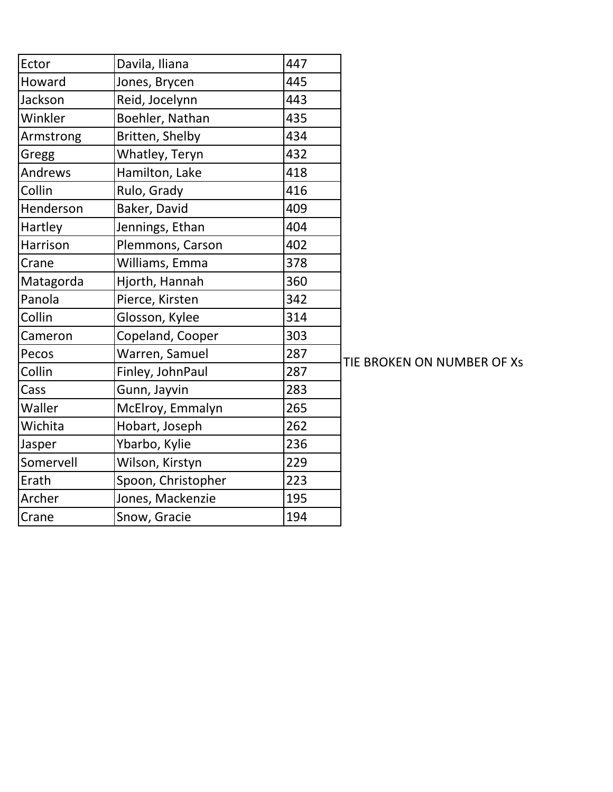| Ector     | Davila, Iliana     | 447 |
|-----------|--------------------|-----|
| Howard    | Jones, Brycen      | 445 |
| Jackson   | Reid, Jocelynn     | 443 |
| Winkler   | Boehler, Nathan    | 435 |
| Armstrong | Britten, Shelby    | 434 |
| Gregg     | Whatley, Teryn     | 432 |
| Andrews   | Hamilton, Lake     | 418 |
| Collin    | Rulo, Grady        | 416 |
| Henderson | Baker, David       | 409 |
| Hartley   | Jennings, Ethan    | 404 |
| Harrison  | Plemmons, Carson   | 402 |
| Crane     | Williams, Emma     | 378 |
| Matagorda | Hjorth, Hannah     | 360 |
| Panola    | Pierce, Kirsten    | 342 |
| Collin    | Glosson, Kylee     | 314 |
| Cameron   | Copeland, Cooper   | 303 |
| Pecos     | Warren, Samuel     | 287 |
| Collin    | Finley, JohnPaul   | 287 |
| Cass      | Gunn, Jayvin       | 283 |
| Waller    | McElroy, Emmalyn   | 265 |
| Wichita   | Hobart, Joseph     | 262 |
| Jasper    | Ybarbo, Kylie      | 236 |
| Somervell | Wilson, Kirstyn    | 229 |
| Erath     | Spoon, Christopher | 223 |
| Archer    | Jones, Mackenzie   | 195 |
| Crane     | Snow, Gracie       | 194 |

TIE BROKEN ON NUMBER OF Xs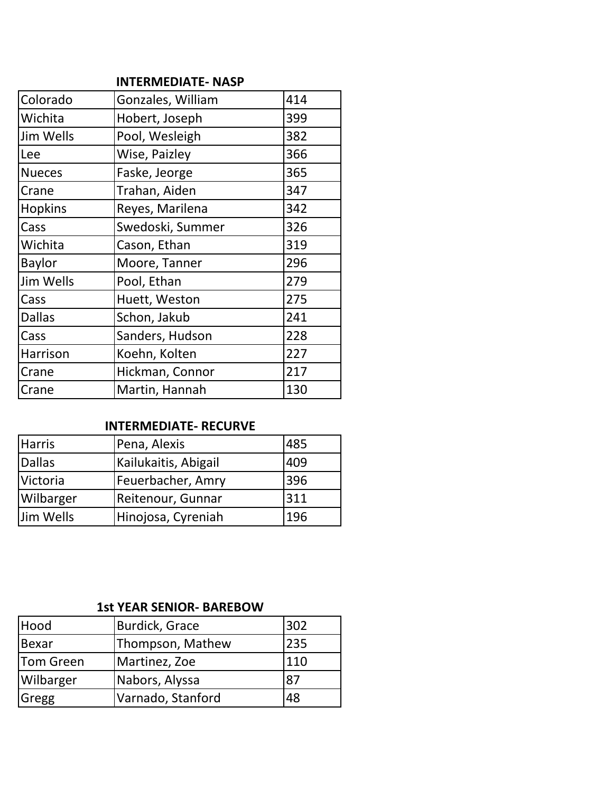#### **INTERMEDIATE- NASP**

| Colorado       | Gonzales, William | 414 |
|----------------|-------------------|-----|
| Wichita        | Hobert, Joseph    | 399 |
| Jim Wells      | Pool, Wesleigh    | 382 |
| Lee            | Wise, Paizley     | 366 |
| <b>Nueces</b>  | Faske, Jeorge     | 365 |
| Crane          | Trahan, Aiden     | 347 |
| <b>Hopkins</b> | Reyes, Marilena   | 342 |
| Cass           | Swedoski, Summer  | 326 |
| Wichita        | Cason, Ethan      | 319 |
| <b>Baylor</b>  | Moore, Tanner     | 296 |
| Jim Wells      | Pool, Ethan       | 279 |
| <b>Cass</b>    | Huett, Weston     | 275 |
| <b>Dallas</b>  | Schon, Jakub      | 241 |
| Cass           | Sanders, Hudson   | 228 |
| Harrison       | Koehn, Kolten     | 227 |
| <b>Crane</b>   | Hickman, Connor   | 217 |
| Crane          | Martin, Hannah    | 130 |

### **INTERMEDIATE- RECURVE**

| <b>Harris</b> | Pena, Alexis         | 485 |
|---------------|----------------------|-----|
| <b>Dallas</b> | Kailukaitis, Abigail | 409 |
| Victoria      | Feuerbacher, Amry    | 396 |
| Wilbarger     | Reitenour, Gunnar    | 311 |
| Jim Wells     | Hinojosa, Cyreniah   | 196 |

## **1st YEAR SENIOR- BAREBOW**

| Hood         | Burdick, Grace    | 302 |
|--------------|-------------------|-----|
| <b>Bexar</b> | Thompson, Mathew  | 235 |
| Tom Green    | Martinez, Zoe     | 110 |
| Wilbarger    | Nabors, Alyssa    | 87  |
| Gregg        | Varnado, Stanford | 48  |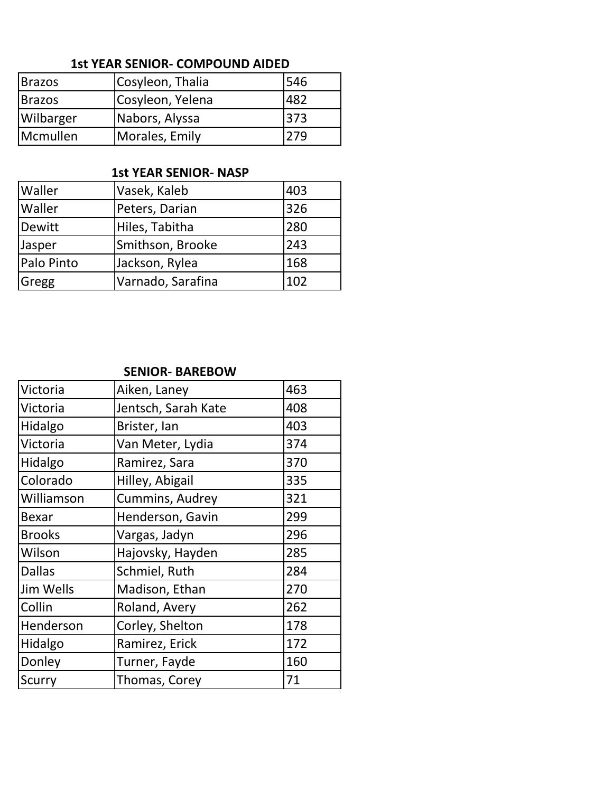## **1st YEAR SENIOR- COMPOUND AIDED**

| <b>Brazos</b> | Cosyleon, Thalia | 546 |
|---------------|------------------|-----|
| <b>Brazos</b> | Cosyleon, Yelena | 482 |
| Wilbarger     | Nabors, Alyssa   | 373 |
| Mcmullen      | Morales, Emily   | 279 |

#### **1st YEAR SENIOR- NASP**

| Waller     | Vasek, Kaleb      | 403 |
|------------|-------------------|-----|
| Waller     | Peters, Darian    | 326 |
| Dewitt     | Hiles, Tabitha    | 280 |
| Jasper     | Smithson, Brooke  | 243 |
| Palo Pinto | Jackson, Rylea    | 168 |
| Gregg      | Varnado, Sarafina | 102 |

#### **SENIOR- BAREBOW**

| Victoria         | Aiken, Laney        | 463 |
|------------------|---------------------|-----|
| Victoria         | Jentsch, Sarah Kate | 408 |
| Hidalgo          | Brister, Ian        | 403 |
| Victoria         | Van Meter, Lydia    | 374 |
| Hidalgo          | Ramirez, Sara       | 370 |
| Colorado         | Hilley, Abigail     | 335 |
| Williamson       | Cummins, Audrey     | 321 |
| <b>Bexar</b>     | Henderson, Gavin    | 299 |
| <b>Brooks</b>    | Vargas, Jadyn       | 296 |
| Wilson           | Hajovsky, Hayden    | 285 |
| <b>Dallas</b>    | Schmiel, Ruth       | 284 |
| <b>Jim Wells</b> | Madison, Ethan      | 270 |
| Collin           | Roland, Avery       | 262 |
| Henderson        | Corley, Shelton     | 178 |
| Hidalgo          | Ramirez, Erick      | 172 |
| Donley           | Turner, Fayde       | 160 |
| <b>Scurry</b>    | Thomas, Corey       | 71  |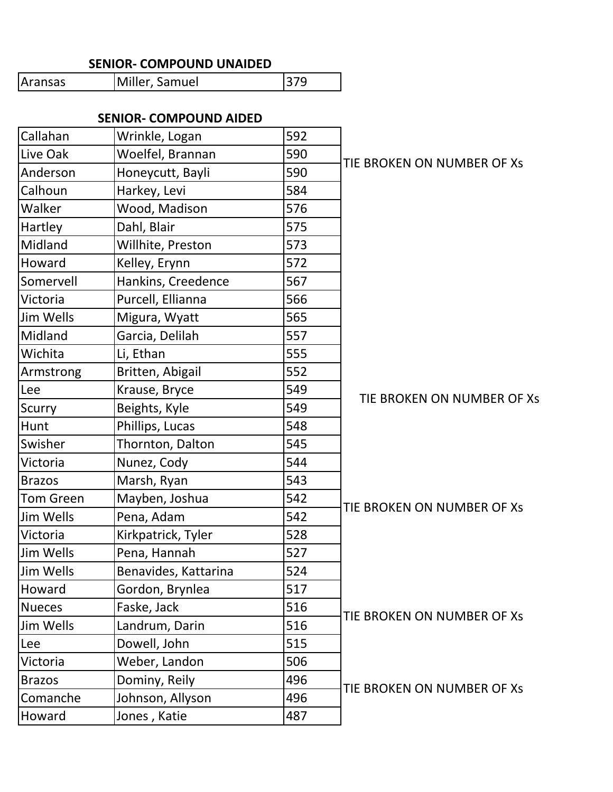#### **SENIOR- COMPOUND UNAIDED**

| Aransas | Miller, Samuel | 379 |
|---------|----------------|-----|
|---------|----------------|-----|

# **SENIOR- COMPOUND AIDED**

| Callahan         | Wrinkle, Logan       | 592 |                            |
|------------------|----------------------|-----|----------------------------|
| Live Oak         | Woelfel, Brannan     | 590 | TIE BROKEN ON NUMBER OF XS |
| Anderson         | Honeycutt, Bayli     | 590 |                            |
| Calhoun          | Harkey, Levi         | 584 |                            |
| Walker           | Wood, Madison        | 576 |                            |
| Hartley          | Dahl, Blair          | 575 |                            |
| Midland          | Willhite, Preston    | 573 |                            |
| Howard           | Kelley, Erynn        | 572 |                            |
| Somervell        | Hankins, Creedence   | 567 |                            |
| Victoria         | Purcell, Ellianna    | 566 |                            |
| Jim Wells        | Migura, Wyatt        | 565 |                            |
| Midland          | Garcia, Delilah      | 557 |                            |
| Wichita          | Li, Ethan            | 555 |                            |
| Armstrong        | Britten, Abigail     | 552 |                            |
| Lee              | Krause, Bryce        | 549 | TIE BROKEN ON NUMBER OF Xs |
| Scurry           | Beights, Kyle        | 549 |                            |
| Hunt             | Phillips, Lucas      | 548 |                            |
| Swisher          | Thornton, Dalton     | 545 |                            |
| Victoria         | Nunez, Cody          | 544 |                            |
| <b>Brazos</b>    | Marsh, Ryan          | 543 |                            |
| Tom Green        | Mayben, Joshua       | 542 | TIE BROKEN ON NUMBER OF XS |
| <b>Jim Wells</b> | Pena, Adam           | 542 |                            |
| Victoria         | Kirkpatrick, Tyler   | 528 |                            |
| Jim Wells        | Pena, Hannah         | 527 |                            |
| <b>Jim Wells</b> | Benavides, Kattarina | 524 |                            |
| Howard           | Gordon, Brynlea      | 517 |                            |
| <b>Nueces</b>    | Faske, Jack          | 516 | TIE BROKEN ON NUMBER OF XS |
| Jim Wells        | Landrum, Darin       | 516 |                            |
| Lee              | Dowell, John         | 515 |                            |
| Victoria         | Weber, Landon        | 506 |                            |
| <b>Brazos</b>    | Dominy, Reily        | 496 | TIE BROKEN ON NUMBER OF Xs |
| Comanche         | Johnson, Allyson     | 496 |                            |
| Howard           | Jones, Katie         | 487 |                            |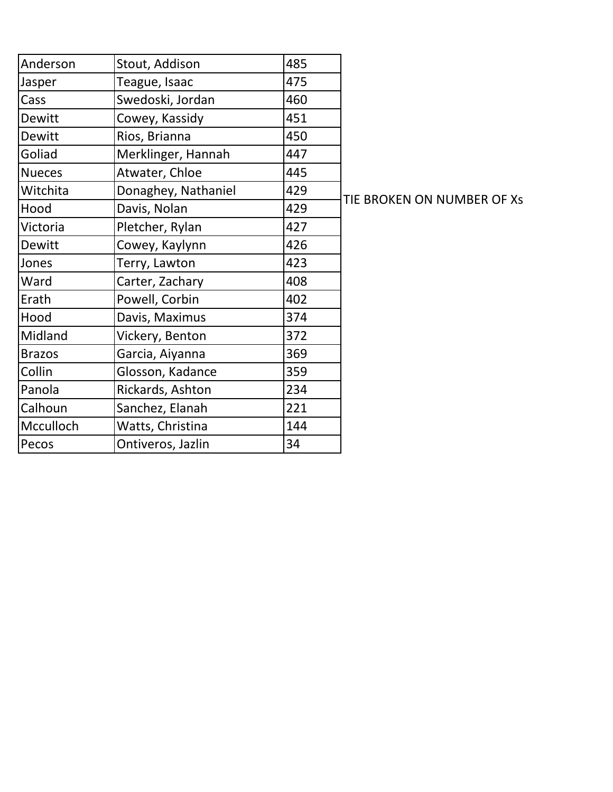| Anderson      | Stout, Addison      | 485 |
|---------------|---------------------|-----|
| Jasper        | Teague, Isaac       | 475 |
| Cass          | Swedoski, Jordan    | 460 |
| Dewitt        | Cowey, Kassidy      | 451 |
| Dewitt        | Rios, Brianna       | 450 |
| Goliad        | Merklinger, Hannah  | 447 |
| <b>Nueces</b> | Atwater, Chloe      | 445 |
| Witchita      | Donaghey, Nathaniel | 429 |
| Hood          | Davis, Nolan        | 429 |
| Victoria      | Pletcher, Rylan     | 427 |
| Dewitt        | Cowey, Kaylynn      | 426 |
| Jones         | Terry, Lawton       | 423 |
| Ward          | Carter, Zachary     | 408 |
| Erath         | Powell, Corbin      | 402 |
| Hood          | Davis, Maximus      | 374 |
| Midland       | Vickery, Benton     | 372 |
| <b>Brazos</b> | Garcia, Aiyanna     | 369 |
| Collin        | Glosson, Kadance    | 359 |
| Panola        | Rickards, Ashton    | 234 |
| Calhoun       | Sanchez, Elanah     | 221 |
| Mcculloch     | Watts, Christina    | 144 |
| Pecos         | Ontiveros, Jazlin   | 34  |

TIE BROKEN ON NUMBER OF Xs